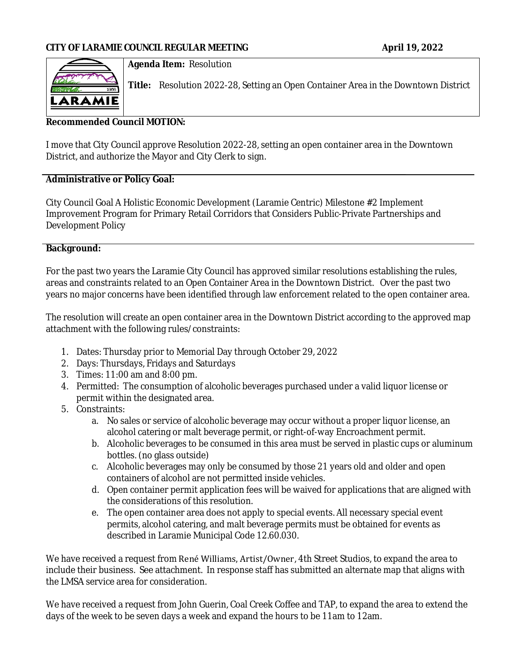

### **Agenda Item:** Resolution

**Title:** Resolution 2022-28, Setting an Open Container Area in the Downtown District

## **Recommended Council MOTION:**

I move that City Council approve Resolution 2022-28, setting an open container area in the Downtown District, and authorize the Mayor and City Clerk to sign.

## **Administrative or Policy Goal:**

City Council Goal A Holistic Economic Development (Laramie Centric) Milestone #2 Implement Improvement Program for Primary Retail Corridors that Considers Public-Private Partnerships and Development Policy

### **Background:**

For the past two years the Laramie City Council has approved similar resolutions establishing the rules, areas and constraints related to an Open Container Area in the Downtown District. Over the past two years no major concerns have been identified through law enforcement related to the open container area.

The resolution will create an open container area in the Downtown District according to the approved map attachment with the following rules/constraints:

- 1. Dates: Thursday prior to Memorial Day through October 29, 2022
- 2. Days: Thursdays, Fridays and Saturdays
- 3. Times: 11:00 am and 8:00 pm.
- 4. Permitted: The consumption of alcoholic beverages purchased under a valid liquor license or permit within the designated area.
- 5. Constraints:
	- a. No sales or service of alcoholic beverage may occur without a proper liquor license, an alcohol catering or malt beverage permit, or right-of-way Encroachment permit.
	- b. Alcoholic beverages to be consumed in this area must be served in plastic cups or aluminum bottles. (no glass outside)
	- c. Alcoholic beverages may only be consumed by those 21 years old and older and open containers of alcohol are not permitted inside vehicles.
	- d. Open container permit application fees will be waived for applications that are aligned with the considerations of this resolution.
	- e. The open container area does not apply to special events. All necessary special event permits, alcohol catering, and malt beverage permits must be obtained for events as described in Laramie Municipal Code 12.60.030.

We have received a request from René Williams, Artist/Owner, 4th Street Studios, to expand the area to include their business. See attachment. In response staff has submitted an alternate map that aligns with the LMSA service area for consideration.

We have received a request from John Guerin, Coal Creek Coffee and TAP, to expand the area to extend the days of the week to be seven days a week and expand the hours to be 11am to 12am.